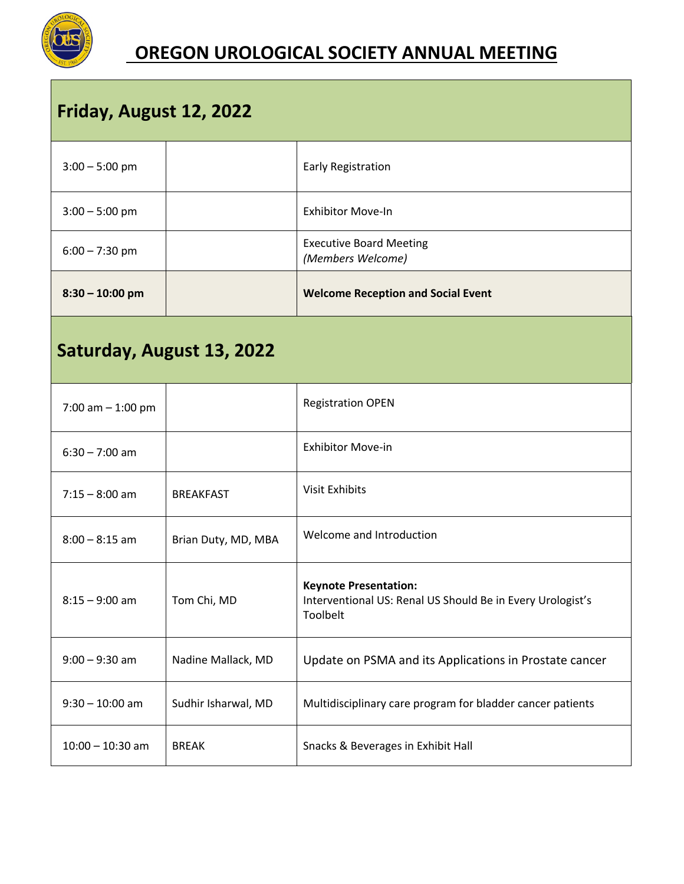

## **OREGON UROLOGICAL SOCIETY ANNUAL MEETING**

| Friday, August 12, 2022   |                     |                                                                                                        |  |  |
|---------------------------|---------------------|--------------------------------------------------------------------------------------------------------|--|--|
| $3:00 - 5:00$ pm          |                     | Early Registration                                                                                     |  |  |
| $3:00 - 5:00$ pm          |                     | <b>Exhibitor Move-In</b>                                                                               |  |  |
| $6:00 - 7:30$ pm          |                     | <b>Executive Board Meeting</b><br>(Members Welcome)                                                    |  |  |
| $8:30 - 10:00$ pm         |                     | <b>Welcome Reception and Social Event</b>                                                              |  |  |
| Saturday, August 13, 2022 |                     |                                                                                                        |  |  |
| 7:00 am $-$ 1:00 pm       |                     | <b>Registration OPEN</b>                                                                               |  |  |
| $6:30 - 7:00$ am          |                     | <b>Exhibitor Move-in</b>                                                                               |  |  |
| $7:15 - 8:00$ am          | <b>BREAKFAST</b>    | <b>Visit Exhibits</b>                                                                                  |  |  |
| $8:00 - 8:15$ am          | Brian Duty, MD, MBA | Welcome and Introduction                                                                               |  |  |
| $8:15 - 9:00$ am          | Tom Chi, MD         | <b>Keynote Presentation:</b><br>Interventional US: Renal US Should Be in Every Urologist's<br>Toolbelt |  |  |
| $9:00 - 9:30$ am          | Nadine Mallack, MD  | Update on PSMA and its Applications in Prostate cancer                                                 |  |  |
| $9:30 - 10:00$ am         | Sudhir Isharwal, MD | Multidisciplinary care program for bladder cancer patients                                             |  |  |
| $10:00 - 10:30$ am        | <b>BREAK</b>        | Snacks & Beverages in Exhibit Hall                                                                     |  |  |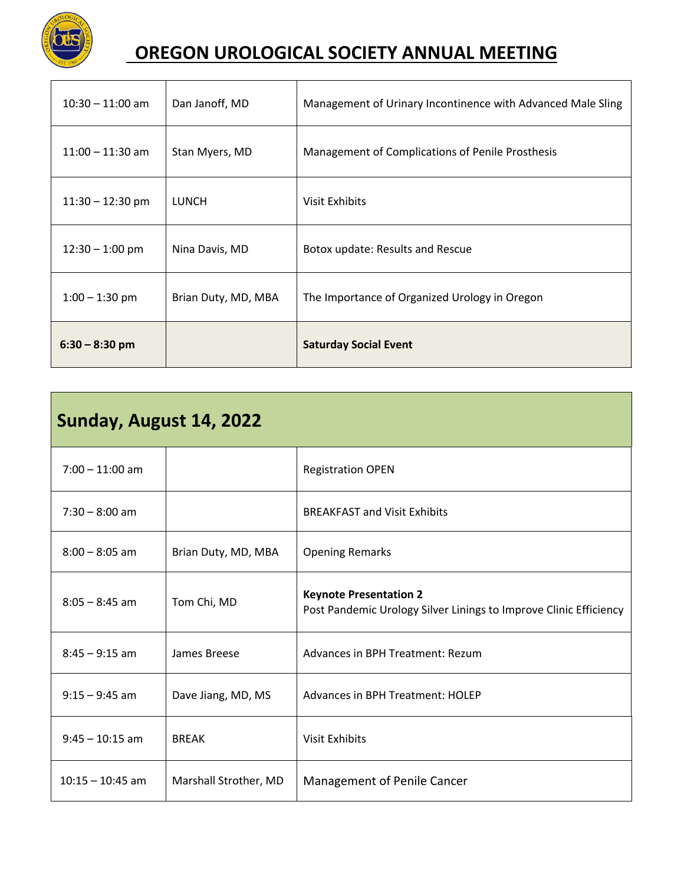

## **OREGON UROLOGICAL SOCIETY ANNUAL MEETING**

| $6:30 - 8:30$ pm   |                     | <b>Saturday Social Event</b>                                |
|--------------------|---------------------|-------------------------------------------------------------|
| $1:00 - 1:30$ pm   | Brian Duty, MD, MBA | The Importance of Organized Urology in Oregon               |
| $12:30 - 1:00$ pm  | Nina Davis, MD      | Botox update: Results and Rescue                            |
| $11:30 - 12:30$ pm | LUNCH               | Visit Exhibits                                              |
| $11:00 - 11:30$ am | Stan Myers, MD      | Management of Complications of Penile Prosthesis            |
| $10:30 - 11:00$ am | Dan Janoff, MD      | Management of Urinary Incontinence with Advanced Male Sling |

| Sunday, August 14, 2022 |                       |                                                                                                    |  |  |
|-------------------------|-----------------------|----------------------------------------------------------------------------------------------------|--|--|
| $7:00 - 11:00$ am       |                       | <b>Registration OPEN</b>                                                                           |  |  |
| $7:30 - 8:00$ am        |                       | <b>BREAKFAST and Visit Exhibits</b>                                                                |  |  |
| $8:00 - 8:05$ am        | Brian Duty, MD, MBA   | <b>Opening Remarks</b>                                                                             |  |  |
| $8:05 - 8:45$ am        | Tom Chi, MD           | <b>Keynote Presentation 2</b><br>Post Pandemic Urology Silver Linings to Improve Clinic Efficiency |  |  |
| $8:45 - 9:15$ am        | James Breese          | Advances in BPH Treatment: Rezum                                                                   |  |  |
| $9:15 - 9:45$ am        | Dave Jiang, MD, MS    | Advances in BPH Treatment: HOLEP                                                                   |  |  |
| $9:45 - 10:15$ am       | <b>BREAK</b>          | <b>Visit Exhibits</b>                                                                              |  |  |
| $10:15 - 10:45$ am      | Marshall Strother, MD | Management of Penile Cancer                                                                        |  |  |